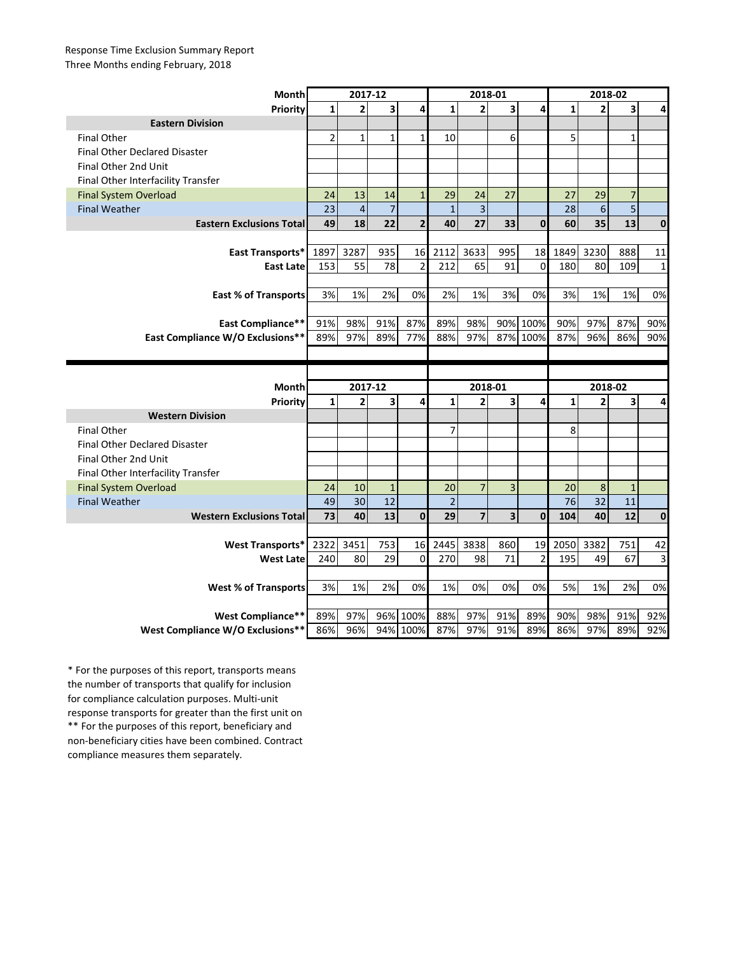## Response Time Exclusion Summary Report Three Months ending February, 2018

| <b>Month</b>                         | 2017-12        |                           |                         |                         | 2018-01        |                           |     |                | 2018-02      |                           |                         |                |
|--------------------------------------|----------------|---------------------------|-------------------------|-------------------------|----------------|---------------------------|-----|----------------|--------------|---------------------------|-------------------------|----------------|
| Priority                             | $\mathbf{1}$   | $\overline{2}$            | $\overline{\mathbf{3}}$ | 4                       | $\mathbf{1}$   | $\overline{2}$            | 3   | 4              | $\mathbf{1}$ | $\overline{2}$            | 3                       | $\overline{4}$ |
| <b>Eastern Division</b>              |                |                           |                         |                         |                |                           |     |                |              |                           |                         |                |
| <b>Final Other</b>                   | $\overline{2}$ | $\mathbf{1}$              | $\mathbf{1}$            | $\mathbf{1}$            | 10             |                           | 6   |                | 5            |                           | $\mathbf{1}$            |                |
| <b>Final Other Declared Disaster</b> |                |                           |                         |                         |                |                           |     |                |              |                           |                         |                |
| Final Other 2nd Unit                 |                |                           |                         |                         |                |                           |     |                |              |                           |                         |                |
| Final Other Interfacility Transfer   |                |                           |                         |                         |                |                           |     |                |              |                           |                         |                |
| <b>Final System Overload</b>         | 24             | 13                        | 14                      | $\mathbf{1}$            | 29             | 24                        | 27  |                | 27           | 29                        | $\overline{7}$          |                |
| <b>Final Weather</b>                 | 23             | $\overline{a}$            | $\overline{7}$          |                         | $\mathbf{1}$   | $\overline{3}$            |     |                | 28           | $\boldsymbol{6}$          | $\overline{\mathbf{5}}$ |                |
| <b>Eastern Exclusions Total</b>      | 49             | 18                        | 22                      | $\overline{2}$          | 40             | 27                        | 33  | $\mathbf{0}$   | 60           | 35                        | 13                      | $\bf{0}$       |
|                                      |                |                           |                         |                         |                |                           |     |                |              |                           |                         |                |
| East Transports*                     | 1897           | 3287                      | 935                     | 16                      | 2112           | 3633                      | 995 | 18             | 1849         | 3230                      | 888                     | 11             |
| <b>East Late</b>                     | 153            | 55                        | 78                      | $\overline{\mathbf{c}}$ | 212            | 65                        | 91  | $\mathbf 0$    | 180          | 80                        | 109                     | $\mathbf{1}$   |
|                                      |                |                           |                         |                         |                |                           |     |                |              |                           |                         |                |
| <b>East % of Transports</b>          | 3%             | 1%                        | 2%                      | 0%                      | 2%             | 1%                        | 3%  | 0%             | 3%           | 1%                        | 1%                      | 0%             |
|                                      |                |                           |                         |                         |                |                           |     |                |              |                           |                         |                |
| East Compliance**                    | 91%            | 98%                       | 91%                     | 87%                     | 89%            | 98%                       |     | 90% 100%       | 90%          | 97%                       | 87%                     | 90%            |
| East Compliance W/O Exclusions**     | 89%            | 97%                       | 89%                     | 77%                     | 88%            | 97%                       |     | 87% 100%       | 87%          | 96%                       | 86%                     | 90%            |
|                                      |                |                           |                         |                         |                |                           |     |                |              |                           |                         |                |
|                                      |                |                           |                         |                         |                |                           |     |                |              |                           |                         |                |
|                                      |                |                           |                         |                         |                |                           |     |                |              |                           |                         |                |
|                                      |                |                           |                         |                         |                |                           |     |                |              |                           |                         |                |
| Month<br>Priority                    | $\mathbf{1}$   | 2017-12<br>$\overline{2}$ | 3                       | 4                       | $\mathbf{1}$   | 2018-01<br>$\overline{2}$ | 3   | 4              | $\mathbf{1}$ | 2018-02<br>$\overline{2}$ | 3                       | 4              |
| <b>Western Division</b>              |                |                           |                         |                         |                |                           |     |                |              |                           |                         |                |
| <b>Final Other</b>                   |                |                           |                         |                         | $\overline{7}$ |                           |     |                | 8            |                           |                         |                |
| <b>Final Other Declared Disaster</b> |                |                           |                         |                         |                |                           |     |                |              |                           |                         |                |
| Final Other 2nd Unit                 |                |                           |                         |                         |                |                           |     |                |              |                           |                         |                |
| Final Other Interfacility Transfer   |                |                           |                         |                         |                |                           |     |                |              |                           |                         |                |
| <b>Final System Overload</b>         | 24             | 10                        | $\mathbf{1}$            |                         | 20             | $\overline{7}$            | 3   |                | 20           | 8                         | $\mathbf{1}$            |                |
| <b>Final Weather</b>                 | 49             | 30                        | 12                      |                         | $\overline{2}$ |                           |     |                | 76           | 32                        | 11                      |                |
| <b>Western Exclusions Total</b>      | 73             | 40                        | 13                      | $\mathbf{0}$            | 29             | $\overline{7}$            | 3   | $\mathbf{0}$   | 104          | 40                        | 12                      | $\mathbf{0}$   |
|                                      |                |                           |                         |                         |                |                           |     |                |              |                           |                         |                |
| <b>West Transports*</b>              | 2322           | 3451                      | 753                     | 16                      | 2445           | 3838                      | 860 | 19             | 2050         | 3382                      | 751                     | 42             |
| <b>West Late</b>                     | 240            | 80                        | 29                      | $\mathbf 0$             | 270            | 98                        | 71  | $\overline{2}$ | 195          | 49                        | 67                      | 3              |
|                                      |                |                           |                         |                         |                |                           |     |                |              |                           |                         |                |
| <b>West % of Transports</b>          | 3%             | 1%                        | 2%                      | 0%                      | 1%             | 0%                        | 0%  | 0%             | 5%           | 1%                        | 2%                      | 0%             |
|                                      |                |                           |                         |                         |                |                           |     |                |              |                           |                         |                |
| <b>West Compliance**</b>             | 89%            | 97%                       |                         | 96% 100%                | 88%            | 97%                       | 91% | 89%            | 90%          | 98%                       | 91%                     | 92%            |

\*\* For the purposes of this report, beneficiary and non-beneficiary cities have been combined. Contract compliance measures them separately. \* For the purposes of this report, transports means the number of transports that qualify for inclusion for compliance calculation purposes. Multi-unit response transports for greater than the first unit on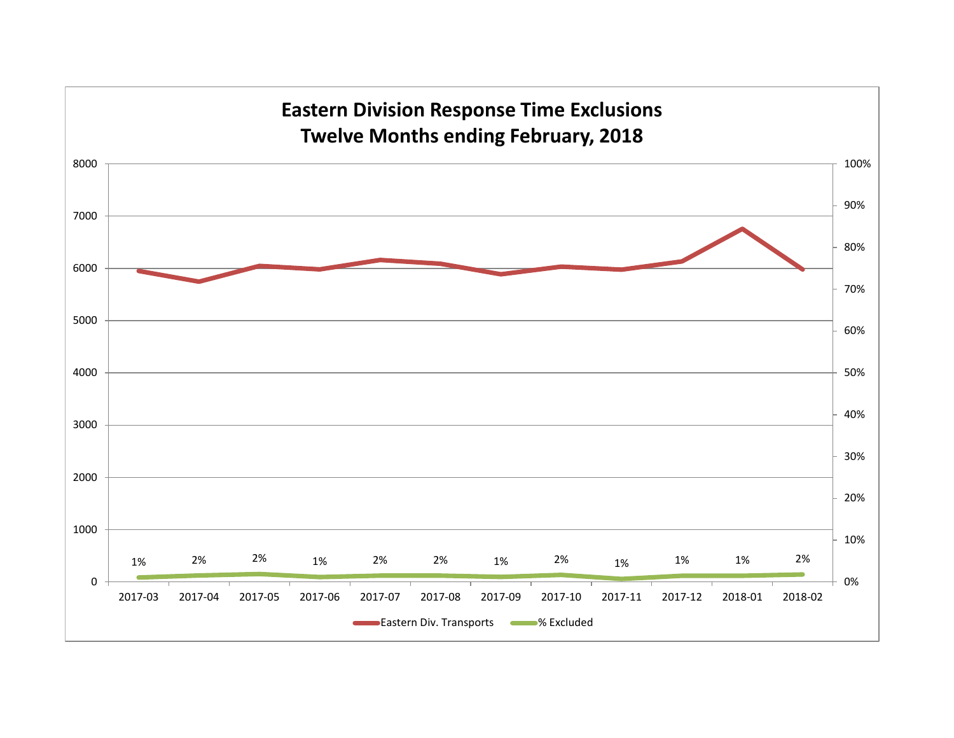